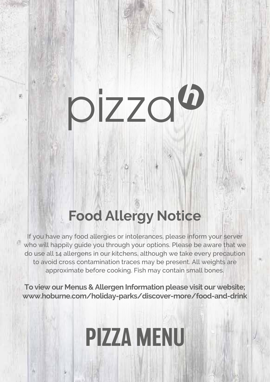# pizza<sup>6</sup>

W)

### **Food Allergy Notice**

If you have any food allergies or intolerances, please inform your server who will happily quide you through your options. Please be aware that we do use all 14 allergens in our kitchens, although we take every precaution to avoid cross contamination traces may be present. All weights are approximate before cooking. Fish may contain small bones.

**To view our Menus & Allergen Information please visit our website; www.hoburne.com/holiday-parks/discover-more/food-and-drink**

## PIZZA MENU